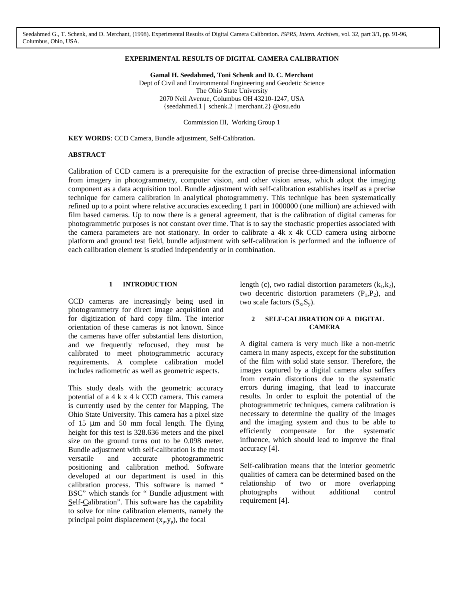Seedahmed G., T. Schenk, and D. Merchant, (1998). Experimental Results of Digital Camera Calibration. *ISPRS, Intern. Archives*, vol. 32, part 3/1, pp. 91-96, Columbus, Ohio, USA.

## **EXPERIMENTAL RESULTS OF DIGITAL CAMERA CALIBRATION**

**Gamal H. Seedahmed, Toni Schenk and D. C. Merchant** Dept of Civil and Environmental Engineering and Geodetic Science The Ohio State University 2070 Neil Avenue, Columbus OH 43210-1247, USA {seedahmed.1 | schenk.2 | merchant.2} @osu.edu

Commission III, Working Group 1

**KEY WORDS**: CCD Camera, Bundle adjustment, Self-Calibration*.*

## **ABSTRACT**

Calibration of CCD camera is a prerequisite for the extraction of precise three-dimensional information from imagery in photogrammetry, computer vision, and other vision areas, which adopt the imaging component as a data acquisition tool. Bundle adjustment with self-calibration establishes itself as a precise technique for camera calibration in analytical photogrammetry. This technique has been systematically refined up to a point where relative accuracies exceeding 1 part in 1000000 (one million) are achieved with film based cameras. Up to now there is a general agreement, that is the calibration of digital cameras for photogrammetric purposes is not constant over time. That is to say the stochastic properties associated with the camera parameters are not stationary. In order to calibrate a 4k x 4k CCD camera using airborne platform and ground test field, bundle adjustment with self-calibration is performed and the influence of each calibration element is studied independently or in combination.

#### **1 INTRODUCTION**

CCD cameras are increasingly being used in photogrammetry for direct image acquisition and for digitization of hard copy film. The interior orientation of these cameras is not known. Since the cameras have offer substantial lens distortion, and we frequently refocused, they must be calibrated to meet photogrammetric accuracy requirements. A complete calibration model includes radiometric as well as geometric aspects.

This study deals with the geometric accuracy potential of a 4 k x 4 k CCD camera. This camera is currently used by the center for Mapping, The Ohio State University*.* This camera has a pixel size of 15  $\mu$ m and 50 mm focal length. The flying height for this test is 328.636 meters and the pixel size on the ground turns out to be 0.098 meter. Bundle adjustment with self-calibration is the most versatile and accurate photogrammetric positioning and calibration method. Software developed at our department is used in this calibration process. This software is named " BSC" which stands for " Bundle adjustment with Self-Calibration". This software has the capability to solve for nine calibration elements, namely the principal point displacement  $(x_p, y_p)$ , the focal

length (c), two radial distortion parameters  $(k_1, k_2)$ , two decentric distortion parameters  $(P_1, P_2)$ , and two scale factors  $(S_x, S_y)$ .

## **2 SELF-CALIBRATION OF A DIGITAL CAMERA**

A digital camera is very much like a non-metric camera in many aspects, except for the substitution of the film with solid state sensor. Therefore, the images captured by a digital camera also suffers from certain distortions due to the systematic errors during imaging, that lead to inaccurate results. In order to exploit the potential of the photogrammetric techniques, camera calibration is necessary to determine the quality of the images and the imaging system and thus to be able to efficiently compensate for the systematic influence, which should lead to improve the final accuracy [4].

Self-calibration means that the interior geometric qualities of camera can be determined based on the relationship of two or more overlapping photographs without additional control requirement [4].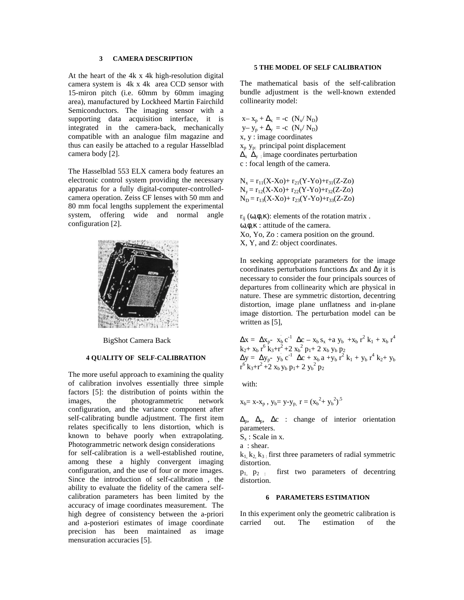# **3 CAMERA DESCRIPTION**

At the heart of the 4k x 4k high-resolution digital camera system is 4k x 4k area CCD sensor with 15-miron pitch (i.e. 60mm by 60mm imaging area), manufactured by Lockheed Martin Fairchild Semiconductors. The imaging sensor with a supporting data acquisition interface, it is integrated in the camera-back, mechanically compatible with an analogue film magazine and thus can easily be attached to a regular Hasselblad camera body [2].

The Hasselblad 553 ELX camera body features an electronic control system providing the necessary apparatus for a fully digital-computer-controlledcamera operation. Zeiss CF lenses with 50 mm and 80 mm focal lengths supplement the experimental system, offering wide and normal angle configuration [2].



BigShot Camera Back

#### **4 QUALITY OF SELF-CALIBRATION**

The more useful approach to examining the quality of calibration involves essentially three simple factors [5]: the distribution of points within the images, the photogrammetric network configuration, and the variance component after self-calibrating bundle adjustment. The first item relates specifically to lens distortion, which is known to behave poorly when extrapolating. Photogrammetric network design considerations for self-calibration is a well-established routine, among these a highly convergent imaging configuration, and the use of four or more images. Since the introduction of self-calibration , the ability to evaluate the fidelity of the camera selfcalibration parameters has been limited by the accuracy of image coordinates measurement. The high degree of consistency between the a-priori and a-posteriori estimates of image coordinate precision has been maintained as image mensuration accuracies [5].

## **5 THE MODEL OF SELF CALIBRATION**

The mathematical basis of the self-calibration bundle adjustment is the well-known extended collinearity model:

 $x - x_p + \Delta_x = -c \left(N_x/N_D\right)$  $y-y_p + \Delta_y = -c \ (N_v/N_D)$ x, y : image coordinates  $x_p$  y<sub>p:</sub> principal point displacement  $\overline{\Delta}_x$   $\overline{\Delta}_y$  image coordinates perturbation c : focal length of the camera.

 $N_x = r_{11}(X-X_0) + r_{21}(Y-Y_0) + r_{31}(Z-Z_0)$  $N_{v} = r_{12}(X-X_0) + r_{22}(Y-Y_0) + r_{32}(Z-Z_0)$  $N_D = r_{13}(X-X_0) + r_{23}(Y-Y_0) + r_{33}(Z-Z_0)$ 

 $r_{ij}$  (ω, φ, κ): elements of the rotation matrix. ω,φ,κ : attitude of the camera. Xo, Yo, Zo : camera position on the ground. X, Y, and Z: object coordinates.

In seeking appropriate parameters for the image coordinates perturbations functions ∆x and ∆y it is necessary to consider the four principals sources of departures from collinearity which are physical in nature. These are symmetric distortion, decentring distortion, image plane unflatness and in-plane image distortion. The perturbation model can be written as [5],

 $\Delta x = \Delta x_{p}$ -  $x_{b} c^{-1} \Delta c - x_{b} s_{x} + a y_{b} + x_{b} r^{2} k_{1} + x_{b} r^{4}$  $k_2$ +  $x_b$  r<sup>6</sup>  $k_3$ +r<sup>2</sup> + 2  $x_b$ <sup>2</sup>  $p_1$  + 2  $x_b$   $y_b$   $p_2$  $\Delta y = \Delta y_{p} - y_{b} c^{-1} \Delta c + x_{b} a + y_{b} r^{2} k_{1} + y_{b} r^{4} k_{2} + y_{b}$  $r^6$  k<sub>3</sub>+ $r^2$  +2 x<sub>b</sub> y<sub>b</sub> p<sub>1</sub>+ 2 y<sub>b</sub><sup>2</sup> p<sub>2</sub>

with:

$$
x_b = x - x_p
$$
,  $y_b = y - y_p$ ,  $r = (x_b^2 + y_b^2)^{0.5}$ 

 $\Delta_p$ ,  $\Delta_p$ ,  $\Delta_c$  : change of interior orientation parameters.

 $S_x$ : Scale in x.

a : shear.

 $k_1, k_2, k_3$ ; first three parameters of radial symmetric distortion.

 $p_1$ ,  $p_2$  : first two parameters of decentring distortion.

#### **6 PARAMETERS ESTIMATION**

In this experiment only the geometric calibration is carried out. The estimation of the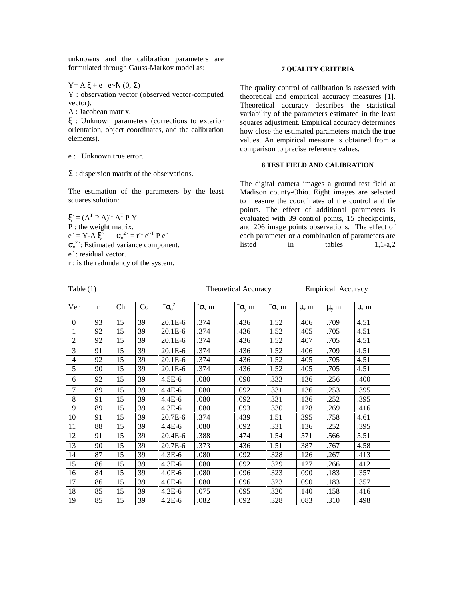unknowns and the calibration parameters are formulated through Gauss-Markov model as:

Y = A  $\xi$  + e e~N  $(0, \Sigma)$ 

Y : observation vector (observed vector-computed vector).

A : Jacobean matrix.

ξ : Unknown parameters (corrections to exterior orientation, object coordinates, and the calibration elements).

e : Unknown true error.

 $\Sigma$ : dispersion matrix of the observations.

The estimation of the parameters by the least squares solution:

 $\xi$ <sup> $=$ </sup>  $(A^T P A)^{-1} A^T P Y$ P : the weight matrix.  $e^{\tilde{}} = Y - A \xi^{\hat{}} \qquad \sigma_o^{2\tilde{}} = r^{-1} e^{-T} P e^{-T}$  $\sigma_0^2$ : Estimated variance component. e<sup>\*</sup>: residual vector.

r : is the redundancy of the system.

### **7 QUALITY CRITERIA**

The quality control of calibration is assessed with theoretical and empirical accuracy measures [1]. Theoretical accuracy describes the statistical variability of the parameters estimated in the least squares adjustment. Empirical accuracy determines how close the estimated parameters match the true values. An empirical measure is obtained from a comparison to precise reference values.

# **8 TEST FIELD AND CALIBRATION**

The digital camera images a ground test field at Madison county-Ohio. Eight images are selected to measure the coordinates of the control and tie points. The effect of additional parameters is evaluated with 39 control points, 15 checkpoints, and 206 image points observations. The effect of each parameter or a combination of parameters are listed in tables 1,1-a,2

| Ver                      | $\mathbf{r}$ | Ch | Co | $\tilde{\sigma}^2$ | $\tilde{\sigma}_x$ m | $\tilde{\sigma}_{v}$ m | $\tilde{\phantom{a}}\sigma_z$ m | $\mu$ <sub>x</sub> m | $\mu_{v}$ m | $\mu$ <sub>z</sub> m |  |
|--------------------------|--------------|----|----|--------------------|----------------------|------------------------|---------------------------------|----------------------|-------------|----------------------|--|
| $\mathbf{0}$             | 93           | 15 | 39 | $20.1E-6$          | .374                 | .436                   | 1.52                            | .406                 | .709        | 4.51                 |  |
| 1                        | 92           | 15 | 39 | $20.1E-6$          | .374                 | .436                   | 1.52                            | .405                 | .705        | 4.51                 |  |
| $\overline{2}$           | 92           | 15 | 39 | $20.1E-6$          | .374                 | .436                   | 1.52                            | .407                 | .705        | 4.51                 |  |
| 3                        | 91           | 15 | 39 | 20.1E-6            | .374                 | .436                   | 1.52                            | .406                 | .709        | 4.51                 |  |
| $\overline{\mathcal{A}}$ | 92           | 15 | 39 | $20.1E-6$          | .374                 | .436                   | 1.52                            | .405                 | .705        | 4.51                 |  |
| 5                        | 90           | 15 | 39 | $20.1E-6$          | .374                 | .436                   | 1.52                            | .405                 | .705        | 4.51                 |  |
| 6                        | 92           | 15 | 39 | $4.5E-6$           | .080                 | .090                   | .333                            | .136                 | .256        | .400                 |  |
| $\boldsymbol{7}$         | 89           | 15 | 39 | $4.4E-6$           | .080                 | .092                   | .331                            | .136                 | .253        | .395                 |  |
| $\,8\,$                  | 91           | 15 | 39 | $4.4E-6$           | .080                 | .092                   | .331                            | .136                 | .252        | .395                 |  |
| 9                        | 89           | 15 | 39 | $4.3E-6$           | .080                 | .093                   | .330                            | .128                 | .269        | .416                 |  |
| 10                       | 91           | 15 | 39 | 20.7E-6            | .374                 | .439                   | 1.51                            | .395                 | .758        | 4.61                 |  |
| 11                       | 88           | 15 | 39 | $4.4E-6$           | .080                 | .092                   | .331                            | .136                 | .252        | .395                 |  |
| 12                       | 91           | 15 | 39 | $20.4E-6$          | .388                 | .474                   | 1.54                            | .571                 | .566        | 5.51                 |  |
| 13                       | 90           | 15 | 39 | 20.7E-6            | .373                 | .436                   | 1.51                            | .387                 | .767        | 4.58                 |  |
| 14                       | 87           | 15 | 39 | $4.3E-6$           | .080                 | .092                   | .328                            | .126                 | .267        | .413                 |  |
| 15                       | 86           | 15 | 39 | $4.3E-6$           | .080                 | .092                   | .329                            | .127                 | .266        | .412                 |  |
| 16                       | 84           | 15 | 39 | $4.0E-6$           | .080                 | .096                   | .323                            | .090                 | .183        | .357                 |  |
| 17                       | 86           | 15 | 39 | $4.0E-6$           | .080                 | .096                   | .323                            | .090                 | .183        | .357                 |  |
| 18                       | 85           | 15 | 39 | $4.2E-6$           | .075                 | .095                   | .320                            | .140                 | .158        | .416                 |  |
| 19                       | 85           | 15 | 39 | $4.2E-6$           | .082                 | .092                   | .328                            | .083                 | .310        | .498                 |  |

Table (1) Theoretical Accuracy\_\_\_\_\_\_\_\_\_ Empirical Accuracy\_\_\_\_\_\_\_\_\_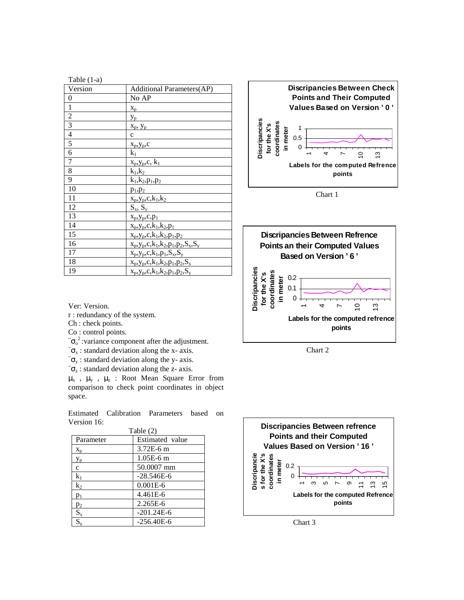| Table (1-a)    |                                             |
|----------------|---------------------------------------------|
| Version        | <b>Additional Parameters(AP)</b>            |
| 0              | No AP                                       |
| 1              | $X_p$                                       |
| $\overline{c}$ | $y_p$                                       |
| 3              | $X_p$ , $Y_p$                               |
| $\overline{4}$ | $\mathbf{C}$                                |
| 5              | $x_p, y_p, c$                               |
| 6              | $k_1$                                       |
| 7              | $x_p, y_p, c, k_1$                          |
| 8              | $k_1, k_2$                                  |
| 9              | $k_1, k_2, p_1, p_2$                        |
| 10             | $p_1, p_2$                                  |
| 11             | $x_p, y_p, c, k_1, k_2$                     |
| 12             | $S_x, S_y$                                  |
| 13             | $X_p, Y_p, C, p_1$                          |
| 14             | $x_p, y_p, c, k_1, k_2, p_1$                |
| 15             | $x_p, y_p, c, k_1, k_2, p_1, p_2$           |
| 16             | $x_p, y_p, c, k_1, k_2, p_1, p_2, S_x, S_y$ |
| 17             | $x_p, y_p, c, k_1, p_1, S_x, S_y$           |
| 18             | $x_p, y_p, c, k_1, k_2, p_1, p_2, S_x$      |
| 19             | $x_p, y_p, c, k_1, k_2, p_1, p_2, S_v$      |

Ver: Version.

r : redundancy of the system.

Ch : check points.

Co : control points.

 $\tilde{\sigma}_0^2$ : variance component after the adjustment.

 $\tilde{\sigma}_x$ : standard deviation along the x- axis.

 $\tilde{\sigma}_v$ : standard deviation along the y- axis.

 $\tilde{\sigma}_z$ : standard deviation along the z- axis.

 $\mu_x$ ,  $\mu_y$ ,  $\mu_z$ : Root Mean Square Error from comparison to check point coordinates in object space.

Estimated Calibration Parameters based on Version 16:

|           | Table $(2)$     |
|-----------|-----------------|
| Parameter | Estimated value |
| $X_{p}$   | 3.72E-6 m       |
| $y_{p}$   | $1.05E-6$ m     |
| c         | 50.0007 mm      |
| $k_1$     | $-28.546E - 6$  |
| $k_2$     | $0.001E-6$      |
| $p_1$     | 4.461E-6        |
| $p_2$     | $2.265E - 6$    |
| $S_{x}$   | $-201.24E-6$    |
|           | $-256.40E - 6$  |



Chart 1



Chart 2



Chart 3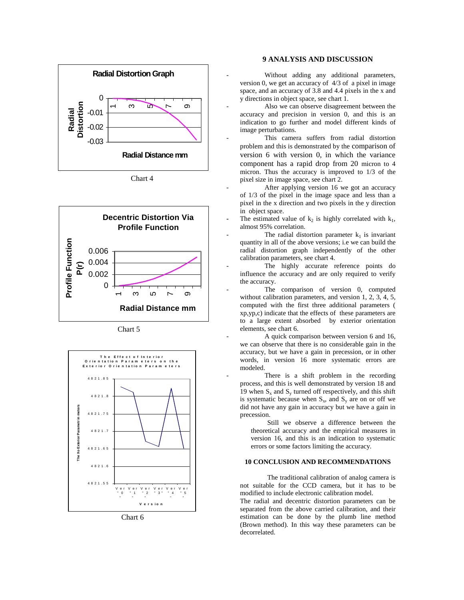

Chart 4



Chart 5



Chart 6

## **9 ANALYSIS AND DISCUSSION**

Without adding any additional parameters, version 0, we get an accuracy of 4/3 of a pixel in image space, and an accuracy of 3.8 and 4.4 pixels in the x and y directions in object space, see chart 1.

Also we can observe disagreement between the accuracy and precision in version 0, and this is an indication to go further and model different kinds of image perturbations.

This camera suffers from radial distortion problem and this is demonstrated by the comparison of version 6 with version 0, in which the variance component has a rapid drop from 20 micron to 4 micron. Thus the accuracy is improved to 1/3 of the pixel size in image space, see chart 2.

After applying version 16 we got an accuracy of 1/3 of the pixel in the image space and less than a pixel in the x direction and two pixels in the y direction in object space.

The estimated value of  $k_2$  is highly correlated with  $k_1$ , almost 95% correlation.

The radial distortion parameter  $k_1$  is invariant quantity in all of the above versions; i.e we can build the radial distortion graph independently of the other calibration parameters, see chart 4.

The highly accurate reference points do influence the accuracy and are only required to verify the accuracy.

The comparison of version 0, computed without calibration parameters, and version 1, 2, 3, 4, 5, computed with the first three additional parameters ( xp,yp,c) indicate that the effects of these parameters are to a large extent absorbed by exterior orientation elements, see chart 6.

- A quick comparison between version 6 and 16, we can observe that there is no considerable gain in the accuracy, but we have a gain in precession, or in other words, in version 16 more systematic errors are modeled.

There is a shift problem in the recording process, and this is well demonstrated by version 18 and 19 when  $S_x$  and  $S_y$  turned off respectively, and this shift is systematic because when  $S_x$ , and  $S_y$  are on or off we did not have any gain in accuracy but we have a gain in precession.

Still we observe a difference between the theoretical accuracy and the empirical measures in version 16, and this is an indication to systematic errors or some factors limiting the accuracy.

# **10 CONCLUSION AND RECOMMENDATIONS**

The traditional calibration of analog camera is not suitable for the CCD camera, but it has to be modified to include electronic calibration model.

The radial and decentric distortion parameters can be separated from the above carried calibration, and their estimation can be done by the plumb line method (Brown method). In this way these parameters can be decorrelated.